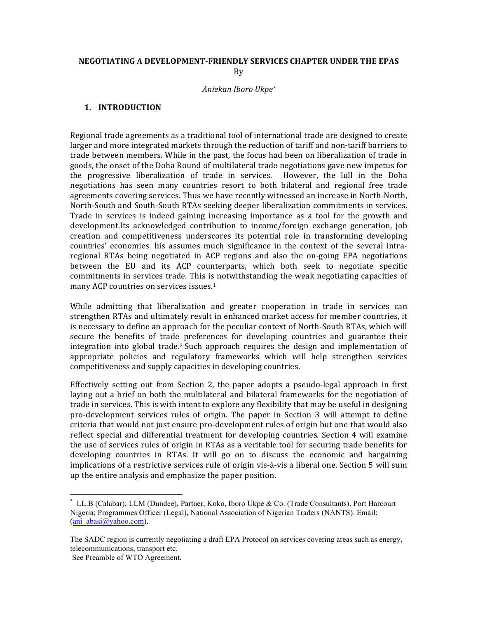#### **NEGOTIATING A DEVELOPMENT-FRIENDLY SERVICES CHAPTER UNDER THE EPAS** By

#### *Aniekan Iboro Ukpe\**

### **1. INTRODUCTION**

Regional trade agreements as a traditional tool of international trade are designed to create larger and more integrated markets through the reduction of tariff and non-tariff barriers to trade between members. While in the past, the focus had been on liberalization of trade in goods, the onset of the Doha Round of multilateral trade negotiations gave new impetus for the progressive liberalization of trade in services. However, the lull in the Doha negotiations has seen many countries resort to both bilateral and regional free trade agreements covering services. Thus we have recently witnessed an increase in North-North, North-South and South-South RTAs seeking deeper liberalization commitments in services. Trade in services is indeed gaining increasing importance as a tool for the growth and development.Its acknowledged contribution to income/foreign exchange generation, job creation and competitiveness underscores its potential role in transforming developing countries' economies. his assumes much significance in the context of the several intraregional RTAs being negotiated in ACP regions and also the on-going EPA negotiations between the EU and its ACP counterparts, which both seek to negotiate specific commitments in services trade. This is notwithstanding the weak negotiating capacities of many ACP countries on services issues.<sup>1</sup>

While admitting that liberalization and greater cooperation in trade in services can strengthen RTAs and ultimately result in enhanced market access for member countries, it is necessary to define an approach for the peculiar context of North-South RTAs, which will secure the benefits of trade preferences for developing countries and guarantee their integration into global trade.<sup>2</sup> Such approach requires the design and implementation of appropriate policies and regulatory frameworks which will help strengthen services competitiveness and supply capacities in developing countries.

Effectively setting out from Section 2, the paper adopts a pseudo-legal approach in first laying out a brief on both the multilateral and bilateral frameworks for the negotiation of trade in services. This is with intent to explore any flexibility that may be useful in designing pro-development services rules of origin. The paper in Section 3 will attempt to define criteria that would not just ensure pro-development rules of origin but one that would also reflect special and differential treatment for developing countries. Section 4 will examine the use of services rules of origin in RTAs as a veritable tool for securing trade benefits for developing countries in RTAs. It will go on to discuss the economic and bargaining implications of a restrictive services rule of origin vis-à-vis a liberal one. Section 5 will sum up the entire analysis and emphasize the paper position.

LL.B (Calabar); LLM (Dundee), Partner, Koko, Iboro Ukpe & Co. (Trade Consultants), Port Harcourt Nigeria; Programmes Officer (Legal), National Association of Nigerian Traders (NANTS). Email: (ani\_abasi@yahoo.com).

The SADC region is currently negotiating a draft EPA Protocol on services covering areas such as energy, telecommunications, transport etc.

See Preamble of WTO Agreement.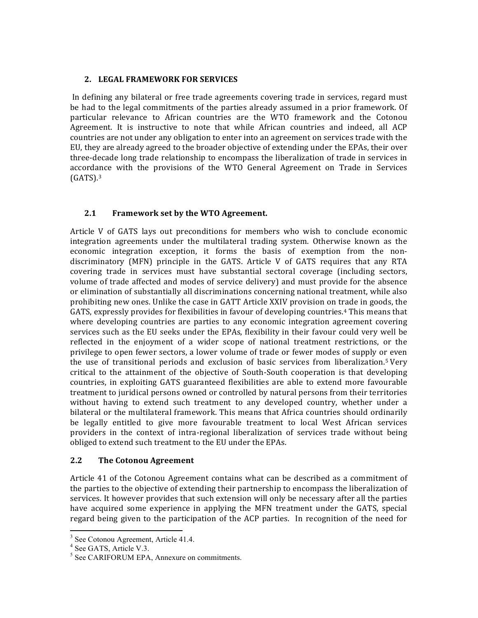### **2. LEGAL FRAMEWORK FOR SERVICES**

In defining any bilateral or free trade agreements covering trade in services, regard must be had to the legal commitments of the parties already assumed in a prior framework. Of particular relevance to African countries are the WTO framework and the Cotonou Agreement. It is instructive to note that while African countries and indeed, all ACP countries are not under any obligation to enter into an agreement on services trade with the EU, they are already agreed to the broader objective of extending under the EPAs, their over three-decade long trade relationship to encompass the liberalization of trade in services in accordance with the provisions of the WTO General Agreement on Trade in Services  $(GATS)$ .<sup>3</sup>

# 2.1 Framework set by the WTO Agreement.

Article V of GATS lays out preconditions for members who wish to conclude economic integration agreements under the multilateral trading system. Otherwise known as the economic integration exception, it forms the basis of exemption from the nondiscriminatory (MFN) principle in the GATS. Article V of GATS requires that any RTA covering trade in services must have substantial sectoral coverage (including sectors, volume of trade affected and modes of service delivery) and must provide for the absence or elimination of substantially all discriminations concerning national treatment, while also prohibiting new ones. Unlike the case in GATT Article XXIV provision on trade in goods, the GATS, expressly provides for flexibilities in favour of developing countries.<sup>4</sup> This means that where developing countries are parties to any economic integration agreement covering services such as the EU seeks under the EPAs, flexibility in their favour could very well be reflected in the enjoyment of a wider scope of national treatment restrictions, or the privilege to open fewer sectors, a lower volume of trade or fewer modes of supply or even the use of transitional periods and exclusion of basic services from liberalization.<sup>5</sup> Very critical to the attainment of the objective of South-South cooperation is that developing countries, in exploiting GATS guaranteed flexibilities are able to extend more favourable treatment to juridical persons owned or controlled by natural persons from their territories without having to extend such treatment to any developed country, whether under a bilateral or the multilateral framework. This means that Africa countries should ordinarily be legally entitled to give more favourable treatment to local West African services providers in the context of intra-regional liberalization of services trade without being obliged to extend such treatment to the EU under the EPAs.

# **2.2** The Cotonou Agreement

Article 41 of the Cotonou Agreement contains what can be described as a commitment of the parties to the objective of extending their partnership to encompass the liberalization of services. It however provides that such extension will only be necessary after all the parties have acquired some experience in applying the MFN treatment under the GATS, special regard being given to the participation of the ACP parties. In recognition of the need for

 

<sup>&</sup>lt;sup>3</sup> See Cotonou Agreement, Article 41.4.

<sup>&</sup>lt;sup>4</sup> See GATS, Article V.3.

<sup>&</sup>lt;sup>5</sup> See CARIFORUM EPA, Annexure on commitments.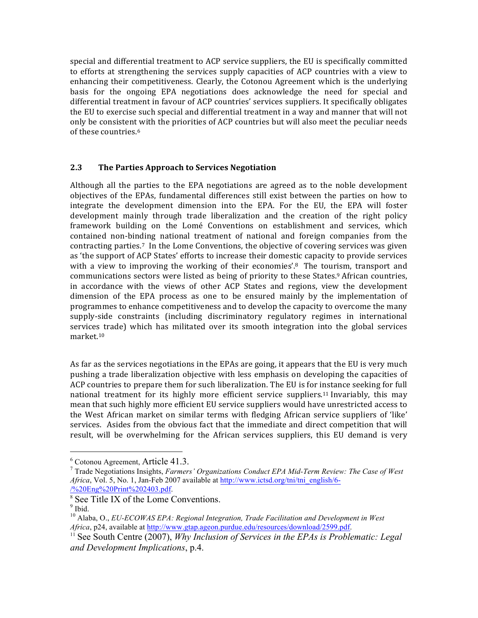special and differential treatment to ACP service suppliers, the EU is specifically committed to efforts at strengthening the services supply capacities of ACP countries with a view to enhancing their competitiveness. Clearly, the Cotonou Agreement which is the underlying basis for the ongoing EPA negotiations does acknowledge the need for special and differential treatment in favour of ACP countries' services suppliers. It specifically obligates the EU to exercise such special and differential treatment in a way and manner that will not only be consistent with the priorities of ACP countries but will also meet the peculiar needs of these countries.<sup>6</sup>

# 2.3 The Parties Approach to Services Negotiation

Although all the parties to the EPA negotiations are agreed as to the noble development objectives of the EPAs, fundamental differences still exist between the parties on how to integrate the development dimension into the EPA. For the EU, the EPA will foster development mainly through trade liberalization and the creation of the right policy framework building on the Lomé Conventions on establishment and services, which contained non-binding national treatment of national and foreign companies from the contracting parties.<sup>7</sup> In the Lome Conventions, the objective of covering services was given as 'the support of ACP States' efforts to increase their domestic capacity to provide services with a view to improving the working of their economies'.<sup>8</sup> The tourism, transport and communications sectors were listed as being of priority to these States.<sup>9</sup> African countries, in accordance with the views of other ACP States and regions, view the development dimension of the EPA process as one to be ensured mainly by the implementation of programmes to enhance competitiveness and to develop the capacity to overcome the many supply-side constraints (including discriminatory regulatory regimes in international services trade) which has militated over its smooth integration into the global services market.10

As far as the services negotiations in the EPAs are going, it appears that the EU is very much pushing a trade liberalization objective with less emphasis on developing the capacities of ACP countries to prepare them for such liberalization. The EU is for instance seeking for full national treatment for its highly more efficient service suppliers.<sup>11</sup> Invariably, this may mean that such highly more efficient EU service suppliers would have unrestricted access to the West African market on similar terms with fledging African service suppliers of 'like' services. Asides from the obvious fact that the immediate and direct competition that will result, will be overwhelming for the African services suppliers, this EU demand is very

<sup>&</sup>lt;u> 1989 - Johann Stein, markin film yn y breninn y breninn y breninn y breninn y breninn y breninn y breninn y b</u>

<sup>&</sup>lt;sup>6</sup> Cotonou Agreement, Article 41.3.<br><sup>7</sup> Trade Negotiations Insights, *Farmers' Organizations Conduct EPA Mid-Term Review: The Case of West Africa*, Vol. 5, No. 1, Jan-Feb 2007 available at http://www.ictsd.org/tni/tni\_english/6- /%20Eng%20Print%202403.pdf.

 $\frac{8}{9}$  See Title IX of the Lome Conventions.

<sup>10</sup> Alaba, O., *EU-ECOWAS EPA: Regional Integration, Trade Facilitation and Development in West Africa*, p24, available at http://www.gtap.ageon.purdue.edu/resources/download/2599.pdf.

<sup>&</sup>lt;sup>11</sup> See South Centre (2007), *Why Inclusion of Services in the EPAs is Problematic: Legal and Development Implications*, p.4.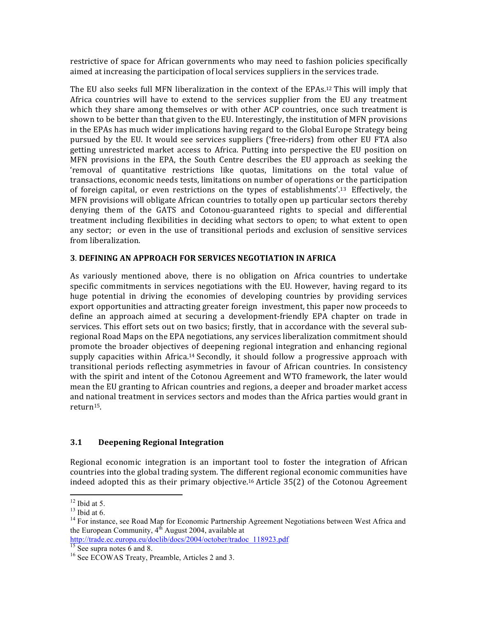restrictive of space for African governments who may need to fashion policies specifically aimed at increasing the participation of local services suppliers in the services trade.

The EU also seeks full MFN liberalization in the context of the EPAs.<sup>12</sup> This will imply that Africa countries will have to extend to the services supplier from the EU any treatment which they share among themselves or with other ACP countries, once such treatment is shown to be better than that given to the EU. Interestingly, the institution of MFN provisions in the EPAs has much wider implications having regard to the Global Europe Strategy being pursued by the EU. It would see services suppliers ('free-riders) from other EU FTA also getting unrestricted market access to Africa. Putting into perspective the EU position on MFN provisions in the EPA, the South Centre describes the EU approach as seeking the 'removal of quantitative restrictions like quotas, limitations on the total value of transactions, economic needs tests, limitations on number of operations or the participation of foreign capital, or even restrictions on the types of establishments'.<sup>13</sup> Effectively, the MFN provisions will obligate African countries to totally open up particular sectors thereby denying them of the GATS and Cotonou-guaranteed rights to special and differential treatment including flexibilities in deciding what sectors to open; to what extent to open any sector; or even in the use of transitional periods and exclusion of sensitive services from liberalization.

### **3**. **DEFINING AN APPROACH FOR SERVICES NEGOTIATION IN AFRICA**

As variously mentioned above, there is no obligation on Africa countries to undertake specific commitments in services negotiations with the EU. However, having regard to its huge potential in driving the economies of developing countries by providing services export opportunities and attracting greater foreign investment, this paper now proceeds to define an approach aimed at securing a development-friendly EPA chapter on trade in services. This effort sets out on two basics; firstly, that in accordance with the several subregional Road Maps on the EPA negotiations, any services liberalization commitment should promote the broader objectives of deepening regional integration and enhancing regional supply capacities within Africa.<sup>14</sup> Secondly, it should follow a progressive approach with transitional periods reflecting asymmetries in favour of African countries. In consistency with the spirit and intent of the Cotonou Agreement and WTO framework, the later would mean the EU granting to African countries and regions, a deeper and broader market access and national treatment in services sectors and modes than the Africa parties would grant in return15. 

# **3.1 Deepening Regional Integration**

Regional economic integration is an important tool to foster the integration of African countries into the global trading system. The different regional economic communities have indeed adopted this as their primary objective.<sup>16</sup> Article  $35(2)$  of the Cotonou Agreement

<sup>&</sup>lt;u> 1989 - Johann Stein, markin film yn y breninn y breninn y breninn y breninn y breninn y breninn y breninn y b</u>

<sup>&</sup>lt;sup>12</sup> Ibid at 5.<br><sup>13</sup> Ibid at 6.<br><sup>14</sup> For instance, see Road Map for Economic Partnership Agreement Negotiations between West Africa and the European Community,  $4<sup>th</sup>$  August 2004, available at

http://trade.ec.europa.eu/doclib/docs/2004/october/tradoc\_118923.pdf<br>
<sup>15</sup> See supra notes 6 and 8.<br>
<sup>16</sup> See ECOWAS Treaty, Preamble, Articles 2 and 3.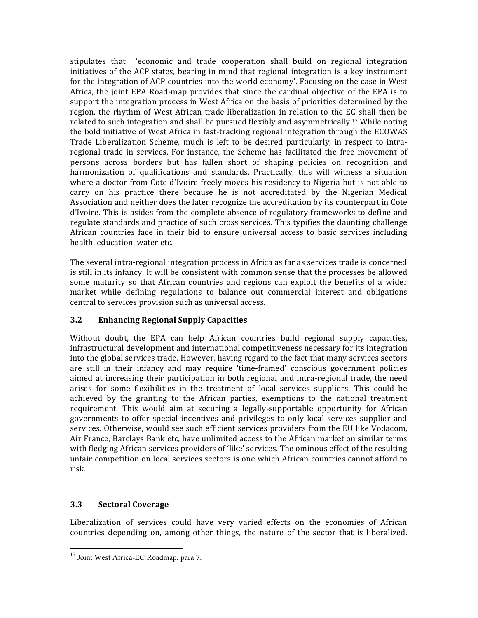stipulates that 'economic and trade cooperation shall build on regional integration initiatives of the ACP states, bearing in mind that regional integration is a key instrument for the integration of ACP countries into the world economy'. Focusing on the case in West Africa, the joint EPA Road-map provides that since the cardinal objective of the EPA is to support the integration process in West Africa on the basis of priorities determined by the region, the rhythm of West African trade liberalization in relation to the EC shall then be related to such integration and shall be pursued flexibly and asymmetrically.<sup>17</sup> While noting the bold initiative of West Africa in fast-tracking regional integration through the ECOWAS Trade Liberalization Scheme, much is left to be desired particularly, in respect to intraregional trade in services. For instance, the Scheme has facilitated the free movement of persons across borders but has fallen short of shaping policies on recognition and harmonization of qualifications and standards. Practically, this will witness a situation where a doctor from Cote d'Ivoire freely moves his residency to Nigeria but is not able to carry on his practice there because he is not accreditated by the Nigerian Medical Association and neither does the later recognize the accreditation by its counterpart in Cote d'Ivoire. This is asides from the complete absence of regulatory frameworks to define and regulate standards and practice of such cross services. This typifies the daunting challenge African countries face in their bid to ensure universal access to basic services including health, education, water etc.

The several intra-regional integration process in Africa as far as services trade is concerned is still in its infancy. It will be consistent with common sense that the processes be allowed some maturity so that African countries and regions can exploit the benefits of a wider market while defining regulations to balance out commercial interest and obligations central to services provision such as universal access.

# **3.2 Enhancing Regional Supply Capacities**

Without doubt, the EPA can help African countries build regional supply capacities, infrastructural development and international competitiveness necessary for its integration into the global services trade. However, having regard to the fact that many services sectors are still in their infancy and may require 'time-framed' conscious government policies aimed at increasing their participation in both regional and intra-regional trade, the need arises for some flexibilities in the treatment of local services suppliers. This could be achieved by the granting to the African parties, exemptions to the national treatment requirement. This would aim at securing a legally-supportable opportunity for African governments to offer special incentives and privileges to only local services supplier and services. Otherwise, would see such efficient services providers from the EU like Vodacom, Air France, Barclays Bank etc, have unlimited access to the African market on similar terms with fledging African services providers of 'like' services. The ominous effect of the resulting unfair competition on local services sectors is one which African countries cannot afford to risk. 

# **3.3 Sectoral Coverage**

Liberalization of services could have very varied effects on the economies of African countries depending on, among other things, the nature of the sector that is liberalized.

<sup>&</sup>lt;sup>17</sup> Joint West Africa-EC Roadmap, para 7.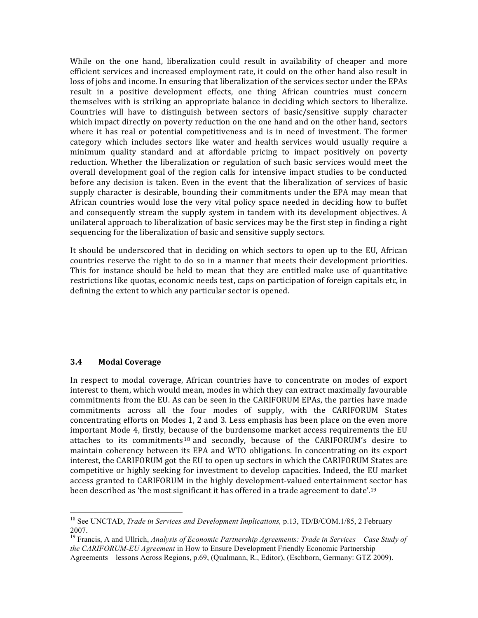While on the one hand, liberalization could result in availability of cheaper and more efficient services and increased employment rate, it could on the other hand also result in loss of jobs and income. In ensuring that liberalization of the services sector under the EPAs result in a positive development effects, one thing African countries must concern themselves with is striking an appropriate balance in deciding which sectors to liberalize. Countries will have to distinguish between sectors of basic/sensitive supply character which impact directly on poverty reduction on the one hand and on the other hand, sectors where it has real or potential competitiveness and is in need of investment. The former category which includes sectors like water and health services would usually require a minimum quality standard and at affordable pricing to impact positively on poverty reduction. Whether the liberalization or regulation of such basic services would meet the overall development goal of the region calls for intensive impact studies to be conducted before any decision is taken. Even in the event that the liberalization of services of basic supply character is desirable, bounding their commitments under the EPA may mean that African countries would lose the very vital policy space needed in deciding how to buffet and consequently stream the supply system in tandem with its development objectives. A unilateral approach to liberalization of basic services may be the first step in finding a right sequencing for the liberalization of basic and sensitive supply sectors.

It should be underscored that in deciding on which sectors to open up to the EU, African countries reserve the right to do so in a manner that meets their development priorities. This for instance should be held to mean that they are entitled make use of quantitative restrictions like quotas, economic needs test, caps on participation of foreign capitals etc, in defining the extent to which any particular sector is opened.

### **3.4 Modal Coverage**

<u> 1989 - Johann Stein, markin film yn y breninn y breninn y breninn y breninn y breninn y breninn y breninn y b</u>

In respect to modal coverage, African countries have to concentrate on modes of export interest to them, which would mean, modes in which they can extract maximally favourable commitments from the EU. As can be seen in the CARIFORUM EPAs, the parties have made commitments across all the four modes of supply, with the CARIFORUM States concentrating efforts on Modes 1, 2 and 3. Less emphasis has been place on the even more important Mode 4, firstly, because of the burdensome market access requirements the EU attaches to its commitments  $18$  and secondly, because of the CARIFORUM's desire to maintain coherency between its EPA and WTO obligations. In concentrating on its export interest, the CARIFORUM got the EU to open up sectors in which the CARIFORUM States are competitive or highly seeking for investment to develop capacities. Indeed, the EU market access granted to CARIFORUM in the highly development-valued entertainment sector has been described as 'the most significant it has offered in a trade agreement to date'.<sup>19</sup>

<sup>18</sup> See UNCTAD, *Trade in Services and Development Implications,* p.13, TD/B/COM.1/85, 2 February 2007.

<sup>19</sup> Francis, A and Ullrich, *Analysis of Economic Partnership Agreements: Trade in Services – Case Study of the CARIFORUM-EU Agreement* in How to Ensure Development Friendly Economic Partnership Agreements – lessons Across Regions, p.69, (Qualmann, R., Editor), (Eschborn, Germany: GTZ 2009).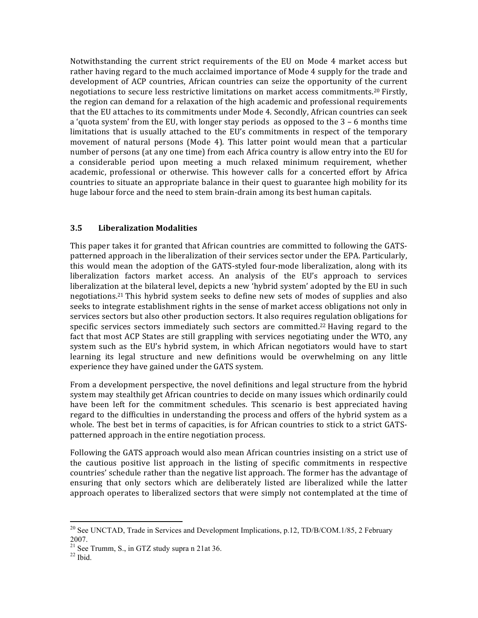Notwithstanding the current strict requirements of the EU on Mode 4 market access but rather having regard to the much acclaimed importance of Mode 4 supply for the trade and development of ACP countries, African countries can seize the opportunity of the current negotiations to secure less restrictive limitations on market access commitments.<sup>20</sup> Firstly, the region can demand for a relaxation of the high academic and professional requirements that the EU attaches to its commitments under Mode 4. Secondly, African countries can seek a 'quota system' from the EU, with longer stay periods as opposed to the  $3 - 6$  months time limitations that is usually attached to the EU's commitments in respect of the temporary movement of natural persons (Mode 4). This latter point would mean that a particular number of persons (at any one time) from each Africa country is allow entry into the EU for a considerable period upon meeting a much relaxed minimum requirement, whether academic, professional or otherwise. This however calls for a concerted effort by Africa countries to situate an appropriate balance in their quest to guarantee high mobility for its huge labour force and the need to stem brain-drain among its best human capitals.

# **3.5 Liberalization Modalities**

This paper takes it for granted that African countries are committed to following the GATSpatterned approach in the liberalization of their services sector under the EPA. Particularly, this would mean the adoption of the GATS-styled four-mode liberalization, along with its liberalization factors market access. An analysis of the EU's approach to services liberalization at the bilateral level, depicts a new 'hybrid system' adopted by the EU in such negotiations.<sup>21</sup> This hybrid system seeks to define new sets of modes of supplies and also seeks to integrate establishment rights in the sense of market access obligations not only in services sectors but also other production sectors. It also requires regulation obligations for specific services sectors immediately such sectors are committed.<sup>22</sup> Having regard to the fact that most ACP States are still grappling with services negotiating under the WTO, any system such as the EU's hybrid system, in which African negotiators would have to start learning its legal structure and new definitions would be overwhelming on any little experience they have gained under the GATS system.

From a development perspective, the novel definitions and legal structure from the hybrid system may stealthily get African countries to decide on many issues which ordinarily could have been left for the commitment schedules. This scenario is best appreciated having regard to the difficulties in understanding the process and offers of the hybrid system as a whole. The best bet in terms of capacities, is for African countries to stick to a strict GATSpatterned approach in the entire negotiation process.

Following the GATS approach would also mean African countries insisting on a strict use of the cautious positive list approach in the listing of specific commitments in respective countries' schedule rather than the negative list approach. The former has the advantage of ensuring that only sectors which are deliberately listed are liberalized while the latter approach operates to liberalized sectors that were simply not contemplated at the time of

<sup>&</sup>lt;sup>20</sup> See UNCTAD, Trade in Services and Development Implications, p.12, TD/B/COM.1/85, 2 February 2007.

<sup>&</sup>lt;sup>21</sup> See Trumm, S., in GTZ study supra n 21at 36.<br><sup>22</sup> Ibid.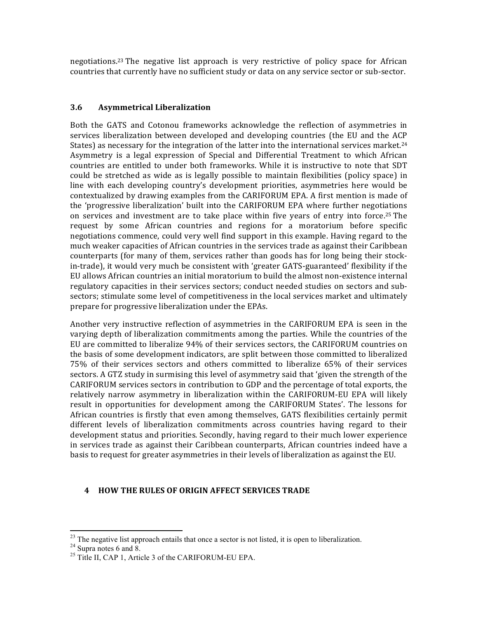negotiations.<sup>23</sup> The negative list approach is very restrictive of policy space for African countries that currently have no sufficient study or data on any service sector or sub-sector.

### **3.6 Asymmetrical Liberalization**

Both the GATS and Cotonou frameworks acknowledge the reflection of asymmetries in services liberalization between developed and developing countries (the EU and the ACP States) as necessary for the integration of the latter into the international services market.<sup>24</sup> Asymmetry is a legal expression of Special and Differential Treatment to which African countries are entitled to under both frameworks. While it is instructive to note that SDT could be stretched as wide as is legally possible to maintain flexibilities (policy space) in line with each developing country's development priorities, asymmetries here would be contextualized by drawing examples from the CARIFORUM EPA. A first mention is made of the 'progressive liberalization' built into the CARIFORUM EPA where further negotiations on services and investment are to take place within five years of entry into force.<sup>25</sup> The request by some African countries and regions for a moratorium before specific negotiations commence, could very well find support in this example. Having regard to the much weaker capacities of African countries in the services trade as against their Caribbean counterparts (for many of them, services rather than goods has for long being their stockin-trade), it would very much be consistent with 'greater GATS-guaranteed' flexibility if the EU allows African countries an initial moratorium to build the almost non-existence internal regulatory capacities in their services sectors; conduct needed studies on sectors and subsectors; stimulate some level of competitiveness in the local services market and ultimately prepare for progressive liberalization under the EPAs.

Another very instructive reflection of asymmetries in the CARIFORUM EPA is seen in the varying depth of liberalization commitments among the parties. While the countries of the EU are committed to liberalize  $94\%$  of their services sectors, the CARIFORUM countries on the basis of some development indicators, are split between those committed to liberalized 75% of their services sectors and others committed to liberalize 65% of their services sectors. A GTZ study in surmising this level of asymmetry said that 'given the strength of the CARIFORUM services sectors in contribution to GDP and the percentage of total exports, the relatively narrow asymmetry in liberalization within the CARIFORUM-EU EPA will likely result in opportunities for development among the CARIFORUM States'. The lessons for African countries is firstly that even among themselves, GATS flexibilities certainly permit different levels of liberalization commitments across countries having regard to their development status and priorities. Secondly, having regard to their much lower experience in services trade as against their Caribbean counterparts, African countries indeed have a basis to request for greater asymmetries in their levels of liberalization as against the EU.

### **4 HOW THE RULES OF ORIGIN AFFECT SERVICES TRADE**

 

<sup>&</sup>lt;sup>23</sup> The negative list approach entails that once a sector is not listed, it is open to liberalization. <sup>24</sup> Supra notes 6 and 8. <sup>25</sup> Title II, CAP 1, Article 3 of the CARIFORUM-EU EPA.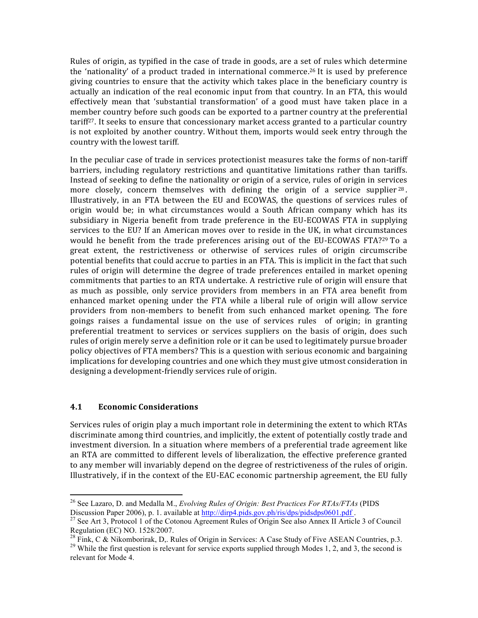Rules of origin, as typified in the case of trade in goods, are a set of rules which determine the 'nationality' of a product traded in international commerce.<sup>26</sup> It is used by preference giving countries to ensure that the activity which takes place in the beneficiary country is actually an indication of the real economic input from that country. In an FTA, this would effectively mean that 'substantial transformation' of a good must have taken place in a member country before such goods can be exported to a partner country at the preferential tariff<sup>27</sup>. It seeks to ensure that concessionary market access granted to a particular country is not exploited by another country. Without them, imports would seek entry through the country with the lowest tariff.

In the peculiar case of trade in services protectionist measures take the forms of non-tariff barriers, including regulatory restrictions and quantitative limitations rather than tariffs. Instead of seeking to define the nationality or origin of a service, rules of origin in services more closely, concern themselves with defining the origin of a service supplier  $28$ . Illustratively, in an FTA between the EU and ECOWAS, the questions of services rules of origin would be; in what circumstances would a South African company which has its subsidiary in Nigeria benefit from trade preference in the EU-ECOWAS FTA in supplying services to the EU? If an American moves over to reside in the UK, in what circumstances would he benefit from the trade preferences arising out of the EU-ECOWAS FTA?<sup>29</sup> To a great extent, the restrictiveness or otherwise of services rules of origin circumscribe potential benefits that could accrue to parties in an FTA. This is implicit in the fact that such rules of origin will determine the degree of trade preferences entailed in market opening commitments that parties to an RTA undertake. A restrictive rule of origin will ensure that as much as possible, only service providers from members in an FTA area benefit from enhanced market opening under the FTA while a liberal rule of origin will allow service providers from non-members to benefit from such enhanced market opening. The fore goings raises a fundamental issue on the use of services rules of origin; in granting preferential treatment to services or services suppliers on the basis of origin, does such rules of origin merely serve a definition role or it can be used to legitimately pursue broader policy objectives of FTA members? This is a question with serious economic and bargaining implications for developing countries and one which they must give utmost consideration in designing a development-friendly services rule of origin.

### **4.1 Economic Considerations**

<u> 1989 - Johann Stein, markin film yn y breninn y breninn y breninn y breninn y breninn y breninn y breninn y b</u>

Services rules of origin play a much important role in determining the extent to which RTAs discriminate among third countries, and implicitly, the extent of potentially costly trade and investment diversion. In a situation where members of a preferential trade agreement like an RTA are committed to different levels of liberalization, the effective preference granted to any member will invariably depend on the degree of restrictiveness of the rules of origin. Illustratively, if in the context of the EU-EAC economic partnership agreement, the EU fully

<sup>26</sup> See Lazaro, D. and Medalla M., *Evolving Rules of Origin: Best Practices For RTAs/FTAs* (PIDS

Discussion Paper 2006), p. 1. available at http://dirp4.pids.gov.ph/ris/dps/pidsdps0601.pdf . <sup>27</sup> See Art 3, Protocol 1 of the Cotonou Agreement Rules of Origin See also Annex II Article 3 of Council Regulation (EC) NO. 1528/2007.<br><sup>28</sup> Fink, C & Nikomborirak, D., Rules of Origin in Services: A Case Study of Five ASEAN Countries, p.3.

<sup>&</sup>lt;sup>29</sup> While the first question is relevant for service exports supplied through Modes 1, 2, and 3, the second is relevant for Mode 4.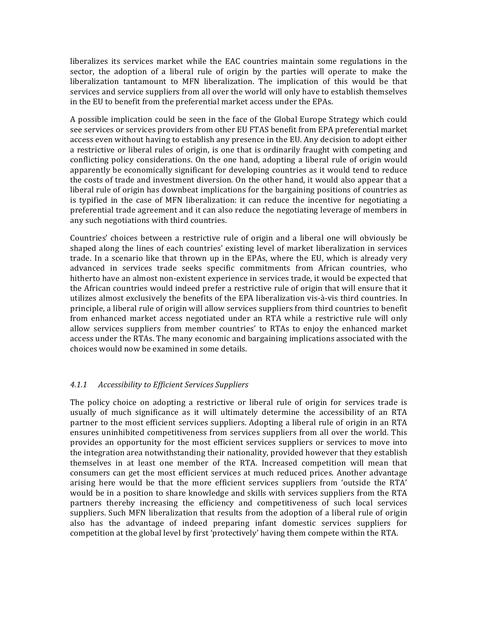liberalizes its services market while the EAC countries maintain some regulations in the sector, the adoption of a liberal rule of origin by the parties will operate to make the liberalization tantamount to MFN liberalization. The implication of this would be that services and service suppliers from all over the world will only have to establish themselves in the EU to benefit from the preferential market access under the EPAs.

A possible implication could be seen in the face of the Global Europe Strategy which could see services or services providers from other EU FTAS benefit from EPA preferential market access even without having to establish any presence in the EU. Any decision to adopt either a restrictive or liberal rules of origin, is one that is ordinarily fraught with competing and conflicting policy considerations. On the one hand, adopting a liberal rule of origin would apparently be economically significant for developing countries as it would tend to reduce the costs of trade and investment diversion. On the other hand, it would also appear that a liberal rule of origin has downbeat implications for the bargaining positions of countries as is typified in the case of MFN liberalization: it can reduce the incentive for negotiating a preferential trade agreement and it can also reduce the negotiating leverage of members in any such negotiations with third countries.

Countries' choices between a restrictive rule of origin and a liberal one will obviously be shaped along the lines of each countries' existing level of market liberalization in services trade. In a scenario like that thrown up in the EPAs, where the EU, which is already very advanced in services trade seeks specific commitments from African countries, who hitherto have an almost non-existent experience in services trade, it would be expected that the African countries would indeed prefer a restrictive rule of origin that will ensure that it utilizes almost exclusively the benefits of the EPA liberalization vis-à-vis third countries. In principle, a liberal rule of origin will allow services suppliers from third countries to benefit from enhanced market access negotiated under an RTA while a restrictive rule will only allow services suppliers from member countries' to RTAs to enjoy the enhanced market access under the RTAs. The many economic and bargaining implications associated with the choices would now be examined in some details.

### *4.1.1 Accessibility to Efficient Services Suppliers*

The policy choice on adopting a restrictive or liberal rule of origin for services trade is usually of much significance as it will ultimately determine the accessibility of an RTA partner to the most efficient services suppliers. Adopting a liberal rule of origin in an RTA ensures uninhibited competitiveness from services suppliers from all over the world. This provides an opportunity for the most efficient services suppliers or services to move into the integration area notwithstanding their nationality, provided however that they establish themselves in at least one member of the RTA. Increased competition will mean that consumers can get the most efficient services at much reduced prices. Another advantage arising here would be that the more efficient services suppliers from 'outside the RTA' would be in a position to share knowledge and skills with services suppliers from the RTA partners thereby increasing the efficiency and competitiveness of such local services suppliers. Such MFN liberalization that results from the adoption of a liberal rule of origin also has the advantage of indeed preparing infant domestic services suppliers for competition at the global level by first 'protectively' having them compete within the RTA.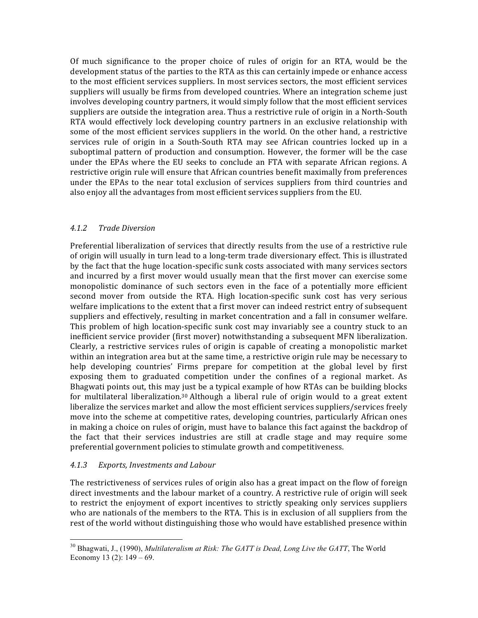Of much significance to the proper choice of rules of origin for an RTA, would be the development status of the parties to the RTA as this can certainly impede or enhance access to the most efficient services suppliers. In most services sectors, the most efficient services suppliers will usually be firms from developed countries. Where an integration scheme just involves developing country partners, it would simply follow that the most efficient services suppliers are outside the integration area. Thus a restrictive rule of origin in a North-South RTA would effectively lock developing country partners in an exclusive relationship with some of the most efficient services suppliers in the world. On the other hand, a restrictive services rule of origin in a South-South RTA may see African countries locked up in a suboptimal pattern of production and consumption. However, the former will be the case under the EPAs where the EU seeks to conclude an FTA with separate African regions. A restrictive origin rule will ensure that African countries benefit maximally from preferences under the EPAs to the near total exclusion of services suppliers from third countries and also enjoy all the advantages from most efficient services suppliers from the EU.

# *4.1.2 Trade Diversion*

Preferential liberalization of services that directly results from the use of a restrictive rule of origin will usually in turn lead to a long-term trade diversionary effect. This is illustrated by the fact that the huge location-specific sunk costs associated with many services sectors and incurred by a first mover would usually mean that the first mover can exercise some monopolistic dominance of such sectors even in the face of a potentially more efficient second mover from outside the RTA. High location-specific sunk cost has very serious welfare implications to the extent that a first mover can indeed restrict entry of subsequent suppliers and effectively, resulting in market concentration and a fall in consumer welfare. This problem of high location-specific sunk cost may invariably see a country stuck to an inefficient service provider (first mover) notwithstanding a subsequent MFN liberalization. Clearly, a restrictive services rules of origin is capable of creating a monopolistic market within an integration area but at the same time, a restrictive origin rule may be necessary to help developing countries' Firms prepare for competition at the global level by first exposing them to graduated competition under the confines of a regional market. As Bhagwati points out, this may just be a typical example of how RTAs can be building blocks for multilateral liberalization.<sup>30</sup> Although a liberal rule of origin would to a great extent liberalize the services market and allow the most efficient services suppliers/services freely move into the scheme at competitive rates, developing countries, particularly African ones in making a choice on rules of origin, must have to balance this fact against the backdrop of the fact that their services industries are still at cradle stage and may require some preferential government policies to stimulate growth and competitiveness.

# *4.1.3 Exports, Investments and Labour*

<u> 1989 - Johann Stein, markin film yn y breninn y breninn y breninn y breninn y breninn y breninn y breninn y b</u>

The restrictiveness of services rules of origin also has a great impact on the flow of foreign direct investments and the labour market of a country. A restrictive rule of origin will seek to restrict the enjoyment of export incentives to strictly speaking only services suppliers who are nationals of the members to the RTA. This is in exclusion of all suppliers from the rest of the world without distinguishing those who would have established presence within

<sup>30</sup> Bhagwati, J., (1990), *Multilateralism at Risk: The GATT is Dead, Long Live the GATT*, The World Economy 13 (2):  $149 - 69$ .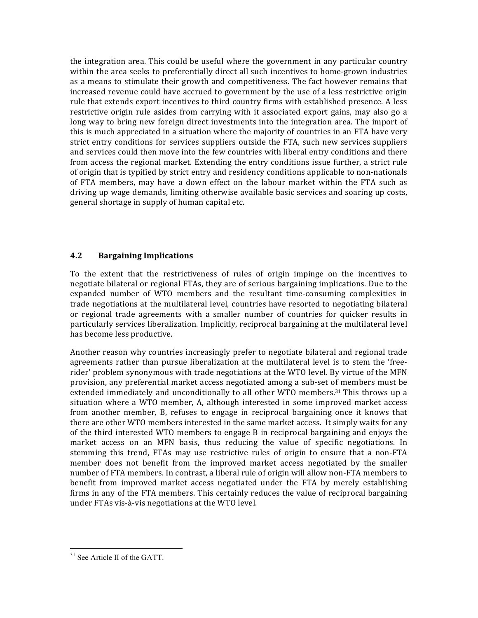the integration area. This could be useful where the government in any particular country within the area seeks to preferentially direct all such incentives to home-grown industries as a means to stimulate their growth and competitiveness. The fact however remains that increased revenue could have accrued to government by the use of a less restrictive origin rule that extends export incentives to third country firms with established presence. A less restrictive origin rule asides from carrying with it associated export gains, may also go a long way to bring new foreign direct investments into the integration area. The import of this is much appreciated in a situation where the majority of countries in an FTA have very strict entry conditions for services suppliers outside the FTA, such new services suppliers and services could then move into the few countries with liberal entry conditions and there from access the regional market. Extending the entry conditions issue further, a strict rule of origin that is typified by strict entry and residency conditions applicable to non-nationals of FTA members, may have a down effect on the labour market within the FTA such as driving up wage demands, limiting otherwise available basic services and soaring up costs, general shortage in supply of human capital etc.

# **4.2 Bargaining Implications**

To the extent that the restrictiveness of rules of origin impinge on the incentives to negotiate bilateral or regional FTAs, they are of serious bargaining implications. Due to the expanded number of WTO members and the resultant time-consuming complexities in trade negotiations at the multilateral level, countries have resorted to negotiating bilateral or regional trade agreements with a smaller number of countries for quicker results in particularly services liberalization. Implicitly, reciprocal bargaining at the multilateral level has become less productive.

Another reason why countries increasingly prefer to negotiate bilateral and regional trade agreements rather than pursue liberalization at the multilateral level is to stem the 'freerider' problem synonymous with trade negotiations at the WTO level. By virtue of the MFN provision, any preferential market access negotiated among a sub-set of members must be extended immediately and unconditionally to all other WTO members.<sup>31</sup> This throws up a situation where a WTO member, A, although interested in some improved market access from another member, B, refuses to engage in reciprocal bargaining once it knows that there are other WTO members interested in the same market access. It simply waits for any of the third interested WTO members to engage B in reciprocal bargaining and enjoys the market access on an MFN basis, thus reducing the value of specific negotiations. In stemming this trend, FTAs may use restrictive rules of origin to ensure that a non-FTA member does not benefit from the improved market access negotiated by the smaller number of FTA members. In contrast, a liberal rule of origin will allow non-FTA members to benefit from improved market access negotiated under the FTA by merely establishing firms in any of the FTA members. This certainly reduces the value of reciprocal bargaining under FTAs vis-à-vis negotiations at the WTO level.

<sup>&</sup>lt;sup>31</sup> See Article II of the GATT.